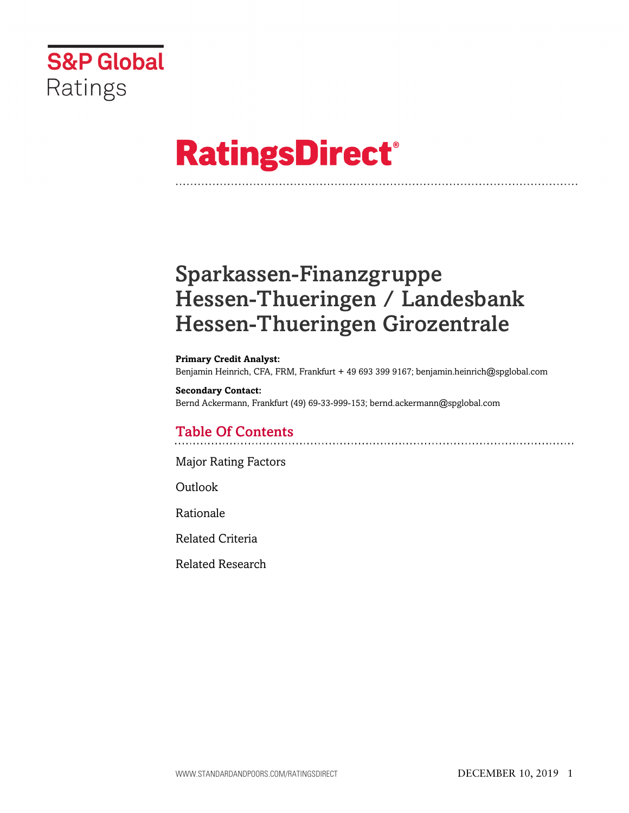

# **RatingsDirect®**

# Sparkassen-Finanzgruppe Hessen-Thueringen / Landesbank Hessen-Thueringen Girozentrale

**Primary Credit Analyst:** Benjamin Heinrich, CFA, FRM, Frankfurt + 49 693 399 9167; benjamin.heinrich@spglobal.com

#### **Secondary Contact:**

Bernd Ackermann, Frankfurt (49) 69-33-999-153; bernd.ackermann@spglobal.com

# Table Of Contents

[Major Rating Factors](#page-1-0)

[Outlook](#page--1-0)

[Rationale](#page-2-0)

[Related Criteria](#page-12-0)

[Related Research](#page-13-0)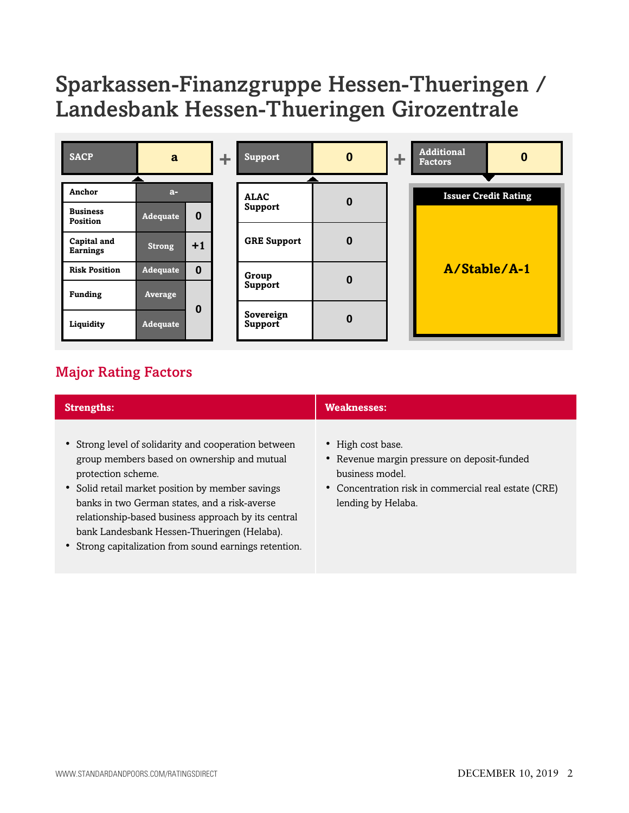# Sparkassen-Finanzgruppe Hessen-Thueringen / Landesbank Hessen-Thueringen Girozentrale

| <b>SACP</b>                    | a               |          |  |                               |          |  | ÷.                          | <b>Support</b> | $\bf{0}$ | ÷ | <b>Additional</b><br><b>Factors</b> | 0 |
|--------------------------------|-----------------|----------|--|-------------------------------|----------|--|-----------------------------|----------------|----------|---|-------------------------------------|---|
| Anchor                         | $a-$            |          |  |                               |          |  |                             |                |          |   |                                     |   |
|                                |                 |          |  | <b>ALAC</b><br><b>Support</b> | $\bf{0}$ |  | <b>Issuer Credit Rating</b> |                |          |   |                                     |   |
| <b>Business</b><br>Position    | Adequate        | $\bf{0}$ |  |                               |          |  |                             |                |          |   |                                     |   |
| Capital and<br><b>Earnings</b> | <b>Strong</b>   | $+1$     |  | <b>GRE Support</b>            | $\bf{0}$ |  |                             |                |          |   |                                     |   |
| <b>Risk Position</b>           | <b>Adequate</b> | $\bf{0}$ |  | Group                         |          |  | A/Stable/A-1                |                |          |   |                                     |   |
| <b>Funding</b>                 | Average         |          |  | Support                       | $\bf{0}$ |  |                             |                |          |   |                                     |   |
| Liquidity                      | <b>Adequate</b> | 0        |  | Sovereign<br>Support          | $\bf{0}$ |  |                             |                |          |   |                                     |   |

# <span id="page-1-0"></span>Major Rating Factors

| <b>Strengths:</b>                                                                                                                                                                                                                                                                                                                                                                              | <b>Weaknesses:</b>                                                                                                                                                |
|------------------------------------------------------------------------------------------------------------------------------------------------------------------------------------------------------------------------------------------------------------------------------------------------------------------------------------------------------------------------------------------------|-------------------------------------------------------------------------------------------------------------------------------------------------------------------|
| • Strong level of solidarity and cooperation between<br>group members based on ownership and mutual<br>protection scheme.<br>• Solid retail market position by member savings<br>banks in two German states, and a risk-averse<br>relationship-based business approach by its central<br>bank Landesbank Hessen-Thueringen (Helaba).<br>• Strong capitalization from sound earnings retention. | • High cost base.<br>• Revenue margin pressure on deposit-funded<br>business model.<br>• Concentration risk in commercial real estate (CRE)<br>lending by Helaba. |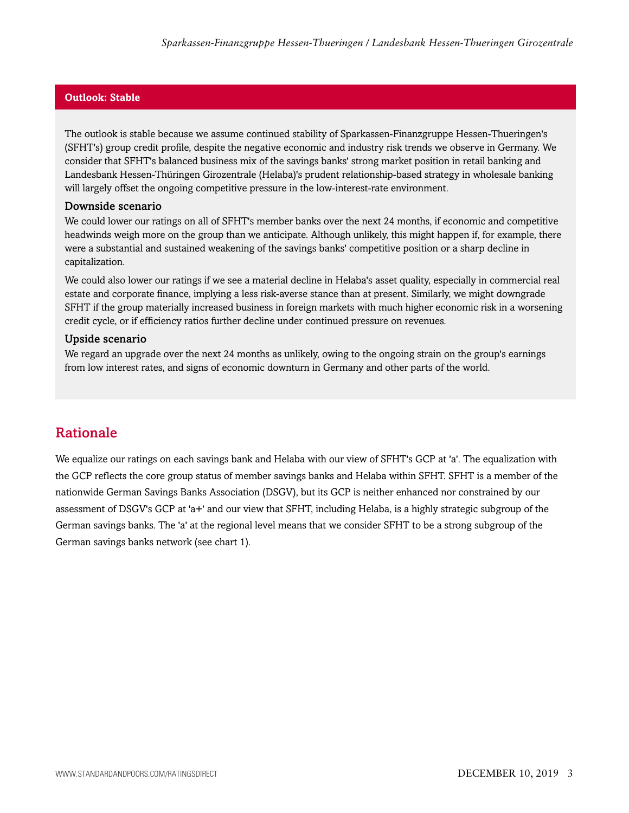#### **Outlook: Stable**

The outlook is stable because we assume continued stability of Sparkassen-Finanzgruppe Hessen-Thueringen's (SFHT's) group credit profile, despite the negative economic and industry risk trends we observe in Germany. We consider that SFHT's balanced business mix of the savings banks' strong market position in retail banking and Landesbank Hessen-Thüringen Girozentrale (Helaba)'s prudent relationship-based strategy in wholesale banking will largely offset the ongoing competitive pressure in the low-interest-rate environment.

#### Downside scenario

We could lower our ratings on all of SFHT's member banks over the next 24 months, if economic and competitive headwinds weigh more on the group than we anticipate. Although unlikely, this might happen if, for example, there were a substantial and sustained weakening of the savings banks' competitive position or a sharp decline in capitalization.

We could also lower our ratings if we see a material decline in Helaba's asset quality, especially in commercial real estate and corporate finance, implying a less risk-averse stance than at present. Similarly, we might downgrade SFHT if the group materially increased business in foreign markets with much higher economic risk in a worsening credit cycle, or if efficiency ratios further decline under continued pressure on revenues.

#### Upside scenario

We regard an upgrade over the next 24 months as unlikely, owing to the ongoing strain on the group's earnings from low interest rates, and signs of economic downturn in Germany and other parts of the world.

### <span id="page-2-0"></span>Rationale

We equalize our ratings on each savings bank and Helaba with our view of SFHT's GCP at 'a'. The equalization with the GCP reflects the core group status of member savings banks and Helaba within SFHT. SFHT is a member of the nationwide German Savings Banks Association (DSGV), but its GCP is neither enhanced nor constrained by our assessment of DSGV's GCP at 'a+' and our view that SFHT, including Helaba, is a highly strategic subgroup of the German savings banks. The 'a' at the regional level means that we consider SFHT to be a strong subgroup of the German savings banks network (see chart 1).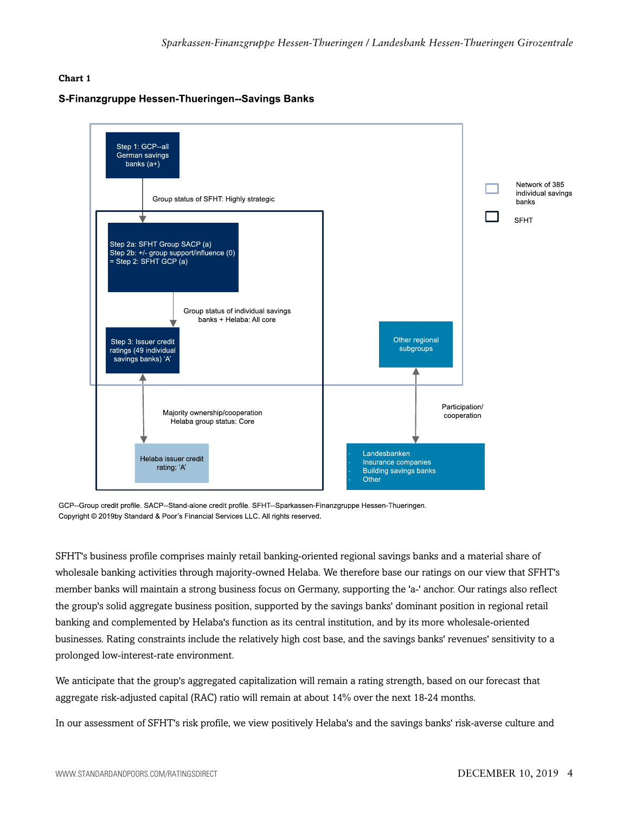#### **Chart 1**

#### S-Finanzgruppe Hessen-Thueringen--Savings Banks



GCP--Group credit profile. SACP--Stand-alone credit profile. SFHT--Sparkassen-Finanzgruppe Hessen-Thueringen. Copyright © 2019by Standard & Poor's Financial Services LLC. All rights reserved.

SFHT's business profile comprises mainly retail banking-oriented regional savings banks and a material share of wholesale banking activities through majority-owned Helaba. We therefore base our ratings on our view that SFHT's member banks will maintain a strong business focus on Germany, supporting the 'a-' anchor. Our ratings also reflect the group's solid aggregate business position, supported by the savings banks' dominant position in regional retail banking and complemented by Helaba's function as its central institution, and by its more wholesale-oriented businesses. Rating constraints include the relatively high cost base, and the savings banks' revenues' sensitivity to a prolonged low-interest-rate environment.

We anticipate that the group's aggregated capitalization will remain a rating strength, based on our forecast that aggregate risk-adjusted capital (RAC) ratio will remain at about 14% over the next 18-24 months.

In our assessment of SFHT's risk profile, we view positively Helaba's and the savings banks' risk-averse culture and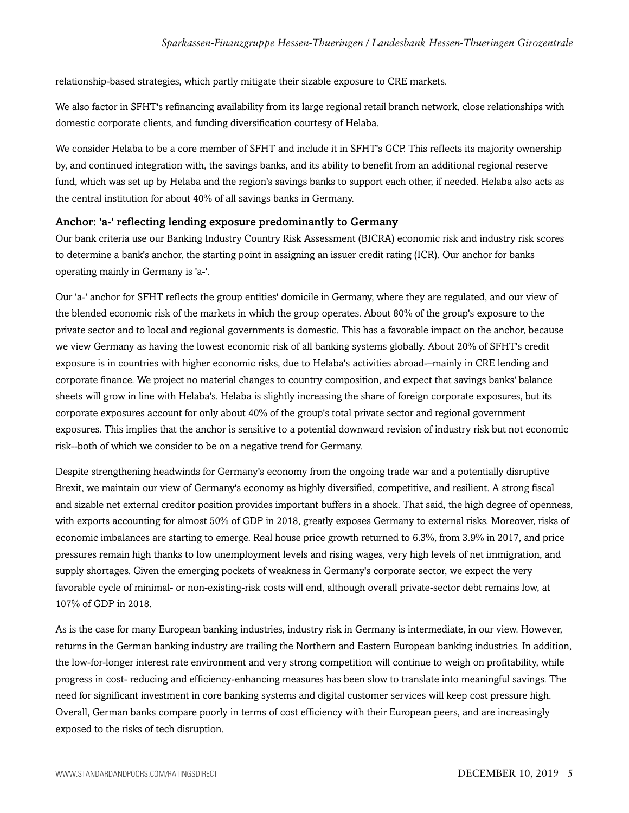relationship-based strategies, which partly mitigate their sizable exposure to CRE markets.

We also factor in SFHT's refinancing availability from its large regional retail branch network, close relationships with domestic corporate clients, and funding diversification courtesy of Helaba.

We consider Helaba to be a core member of SFHT and include it in SFHT's GCP. This reflects its majority ownership by, and continued integration with, the savings banks, and its ability to benefit from an additional regional reserve fund, which was set up by Helaba and the region's savings banks to support each other, if needed. Helaba also acts as the central institution for about 40% of all savings banks in Germany.

#### Anchor: 'a-' reflecting lending exposure predominantly to Germany

Our bank criteria use our Banking Industry Country Risk Assessment (BICRA) economic risk and industry risk scores to determine a bank's anchor, the starting point in assigning an issuer credit rating (ICR). Our anchor for banks operating mainly in Germany is 'a-'.

Our 'a-' anchor for SFHT reflects the group entities' domicile in Germany, where they are regulated, and our view of the blended economic risk of the markets in which the group operates. About 80% of the group's exposure to the private sector and to local and regional governments is domestic. This has a favorable impact on the anchor, because we view Germany as having the lowest economic risk of all banking systems globally. About 20% of SFHT's credit exposure is in countries with higher economic risks, due to Helaba's activities abroad-–mainly in CRE lending and corporate finance. We project no material changes to country composition, and expect that savings banks' balance sheets will grow in line with Helaba's. Helaba is slightly increasing the share of foreign corporate exposures, but its corporate exposures account for only about 40% of the group's total private sector and regional government exposures. This implies that the anchor is sensitive to a potential downward revision of industry risk but not economic risk--both of which we consider to be on a negative trend for Germany.

Despite strengthening headwinds for Germany's economy from the ongoing trade war and a potentially disruptive Brexit, we maintain our view of Germany's economy as highly diversified, competitive, and resilient. A strong fiscal and sizable net external creditor position provides important buffers in a shock. That said, the high degree of openness, with exports accounting for almost 50% of GDP in 2018, greatly exposes Germany to external risks. Moreover, risks of economic imbalances are starting to emerge. Real house price growth returned to 6.3%, from 3.9% in 2017, and price pressures remain high thanks to low unemployment levels and rising wages, very high levels of net immigration, and supply shortages. Given the emerging pockets of weakness in Germany's corporate sector, we expect the very favorable cycle of minimal- or non-existing-risk costs will end, although overall private-sector debt remains low, at 107% of GDP in 2018.

As is the case for many European banking industries, industry risk in Germany is intermediate, in our view. However, returns in the German banking industry are trailing the Northern and Eastern European banking industries. In addition, the low-for-longer interest rate environment and very strong competition will continue to weigh on profitability, while progress in cost- reducing and efficiency-enhancing measures has been slow to translate into meaningful savings. The need for significant investment in core banking systems and digital customer services will keep cost pressure high. Overall, German banks compare poorly in terms of cost efficiency with their European peers, and are increasingly exposed to the risks of tech disruption.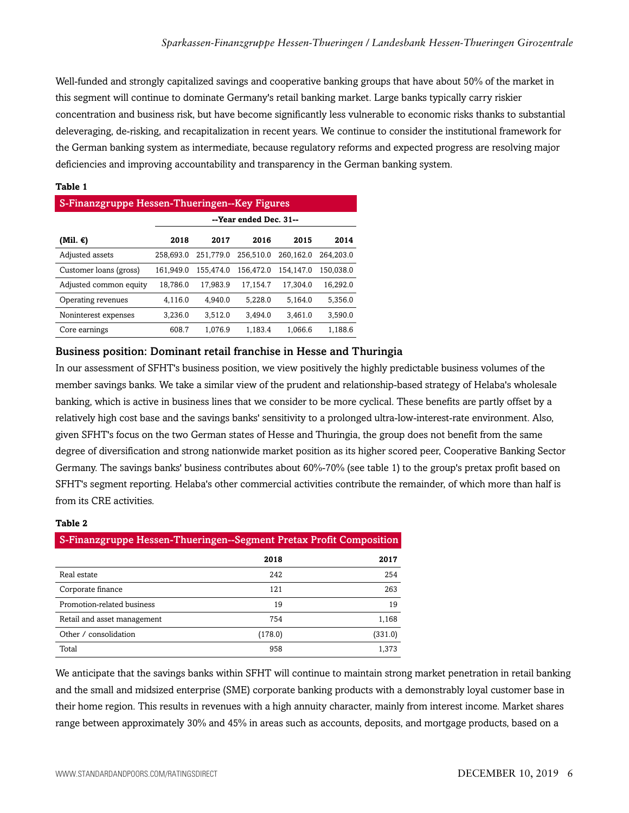Well-funded and strongly capitalized savings and cooperative banking groups that have about 50% of the market in this segment will continue to dominate Germany's retail banking market. Large banks typically carry riskier concentration and business risk, but have become significantly less vulnerable to economic risks thanks to substantial deleveraging, de-risking, and recapitalization in recent years. We continue to consider the institutional framework for the German banking system as intermediate, because regulatory reforms and expected progress are resolving major deficiencies and improving accountability and transparency in the German banking system.

#### **Table 1**

| S-Finanzgruppe Hessen-Thueringen--Key Figures |                        |           |           |           |           |  |  |  |  |
|-----------------------------------------------|------------------------|-----------|-----------|-----------|-----------|--|--|--|--|
|                                               | --Year ended Dec. 31-- |           |           |           |           |  |  |  |  |
| (Mil. €)                                      | 2018                   | 2017      | 2016      | 2015      | 2014      |  |  |  |  |
| Adjusted assets                               | 258,693.0              | 251.779.0 | 256,510.0 | 260.162.0 | 264.203.0 |  |  |  |  |
| Customer loans (gross)                        | 161.949.0              | 155.474.0 | 156.472.0 | 154.147.0 | 150.038.0 |  |  |  |  |
| Adjusted common equity                        | 18.786.0               | 17.983.9  | 17.154.7  | 17.304.0  | 16.292.0  |  |  |  |  |
| Operating revenues                            | 4.116.0                | 4.940.0   | 5.228.0   | 5.164.0   | 5,356.0   |  |  |  |  |
| Noninterest expenses                          | 3.236.0                | 3.512.0   | 3.494.0   | 3.461.0   | 3.590.0   |  |  |  |  |
| Core earnings                                 | 608.7                  | 1.076.9   | 1.183.4   | 1.066.6   | 1.188.6   |  |  |  |  |

#### Business position: Dominant retail franchise in Hesse and Thuringia

In our assessment of SFHT's business position, we view positively the highly predictable business volumes of the member savings banks. We take a similar view of the prudent and relationship-based strategy of Helaba's wholesale banking, which is active in business lines that we consider to be more cyclical. These benefits are partly offset by a relatively high cost base and the savings banks' sensitivity to a prolonged ultra-low-interest-rate environment. Also, given SFHT's focus on the two German states of Hesse and Thuringia, the group does not benefit from the same degree of diversification and strong nationwide market position as its higher scored peer, Cooperative Banking Sector Germany. The savings banks' business contributes about 60%-70% (see table 1) to the group's pretax profit based on SFHT's segment reporting. Helaba's other commercial activities contribute the remainder, of which more than half is from its CRE activities.

#### **Table 2**

| S-Finanzgruppe Hessen-Thueringen--Segment Pretax Profit Composition |         |         |  |  |  |  |  |
|---------------------------------------------------------------------|---------|---------|--|--|--|--|--|
|                                                                     | 2018    | 2017    |  |  |  |  |  |
| Real estate                                                         | 242     | 254     |  |  |  |  |  |
| Corporate finance                                                   | 121     | 263     |  |  |  |  |  |
| Promotion-related business                                          | 19      | 19      |  |  |  |  |  |
| Retail and asset management                                         | 754     | 1,168   |  |  |  |  |  |
| Other / consolidation                                               | (178.0) | (331.0) |  |  |  |  |  |
| Total                                                               | 958     | 1.373   |  |  |  |  |  |

We anticipate that the savings banks within SFHT will continue to maintain strong market penetration in retail banking and the small and midsized enterprise (SME) corporate banking products with a demonstrably loyal customer base in their home region. This results in revenues with a high annuity character, mainly from interest income. Market shares range between approximately 30% and 45% in areas such as accounts, deposits, and mortgage products, based on a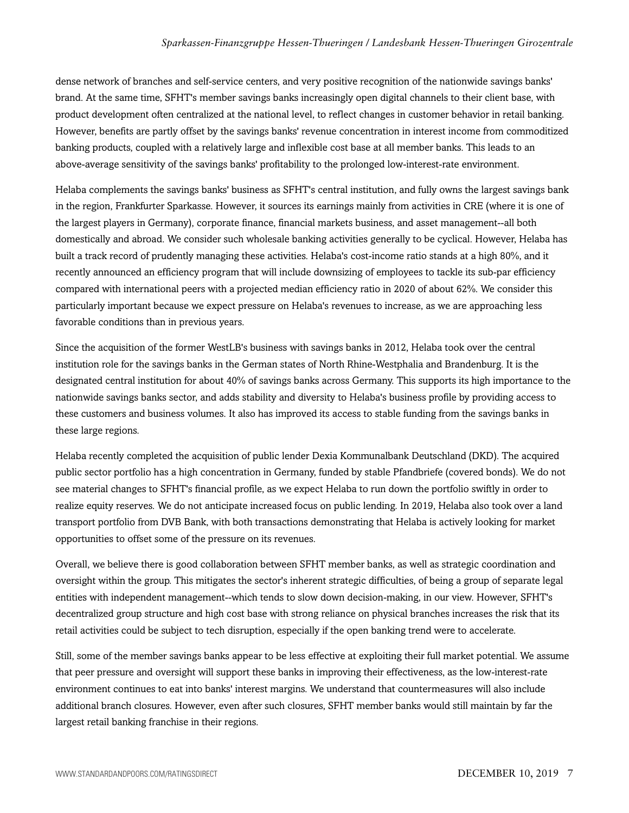dense network of branches and self-service centers, and very positive recognition of the nationwide savings banks' brand. At the same time, SFHT's member savings banks increasingly open digital channels to their client base, with product development often centralized at the national level, to reflect changes in customer behavior in retail banking. However, benefits are partly offset by the savings banks' revenue concentration in interest income from commoditized banking products, coupled with a relatively large and inflexible cost base at all member banks. This leads to an above-average sensitivity of the savings banks' profitability to the prolonged low-interest-rate environment.

Helaba complements the savings banks' business as SFHT's central institution, and fully owns the largest savings bank in the region, Frankfurter Sparkasse. However, it sources its earnings mainly from activities in CRE (where it is one of the largest players in Germany), corporate finance, financial markets business, and asset management--all both domestically and abroad. We consider such wholesale banking activities generally to be cyclical. However, Helaba has built a track record of prudently managing these activities. Helaba's cost-income ratio stands at a high 80%, and it recently announced an efficiency program that will include downsizing of employees to tackle its sub-par efficiency compared with international peers with a projected median efficiency ratio in 2020 of about 62%. We consider this particularly important because we expect pressure on Helaba's revenues to increase, as we are approaching less favorable conditions than in previous years.

Since the acquisition of the former WestLB's business with savings banks in 2012, Helaba took over the central institution role for the savings banks in the German states of North Rhine-Westphalia and Brandenburg. It is the designated central institution for about 40% of savings banks across Germany. This supports its high importance to the nationwide savings banks sector, and adds stability and diversity to Helaba's business profile by providing access to these customers and business volumes. It also has improved its access to stable funding from the savings banks in these large regions.

Helaba recently completed the acquisition of public lender Dexia Kommunalbank Deutschland (DKD). The acquired public sector portfolio has a high concentration in Germany, funded by stable Pfandbriefe (covered bonds). We do not see material changes to SFHT's financial profile, as we expect Helaba to run down the portfolio swiftly in order to realize equity reserves. We do not anticipate increased focus on public lending. In 2019, Helaba also took over a land transport portfolio from DVB Bank, with both transactions demonstrating that Helaba is actively looking for market opportunities to offset some of the pressure on its revenues.

Overall, we believe there is good collaboration between SFHT member banks, as well as strategic coordination and oversight within the group. This mitigates the sector's inherent strategic difficulties, of being a group of separate legal entities with independent management--which tends to slow down decision-making, in our view. However, SFHT's decentralized group structure and high cost base with strong reliance on physical branches increases the risk that its retail activities could be subject to tech disruption, especially if the open banking trend were to accelerate.

Still, some of the member savings banks appear to be less effective at exploiting their full market potential. We assume that peer pressure and oversight will support these banks in improving their effectiveness, as the low-interest-rate environment continues to eat into banks' interest margins. We understand that countermeasures will also include additional branch closures. However, even after such closures, SFHT member banks would still maintain by far the largest retail banking franchise in their regions.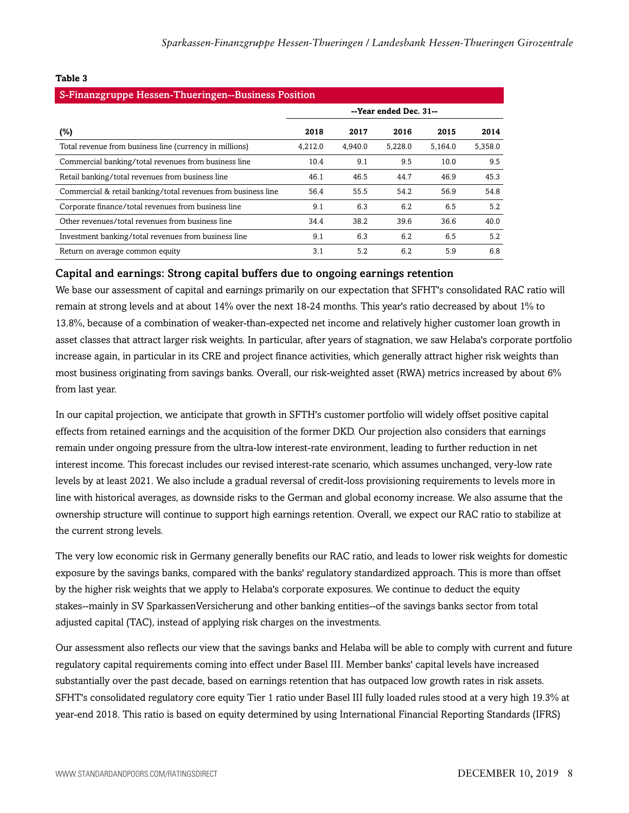| S-Finanzgruppe Hessen-Thueringen--Business Position           |                        |         |         |         |         |  |  |  |  |
|---------------------------------------------------------------|------------------------|---------|---------|---------|---------|--|--|--|--|
|                                                               | --Year ended Dec. 31-- |         |         |         |         |  |  |  |  |
| $(\%)$                                                        | 2018                   | 2017    | 2016    | 2015    | 2014    |  |  |  |  |
| Total revenue from business line (currency in millions)       | 4,212.0                | 4,940.0 | 5,228.0 | 5.164.0 | 5,358.0 |  |  |  |  |
| Commercial banking/total revenues from business line          | 10.4                   | 9.1     | 9.5     | 10.0    | 9.5     |  |  |  |  |
| Retail banking/total revenues from business line              | 46.1                   | 46.5    | 44.7    | 46.9    | 45.3    |  |  |  |  |
| Commercial & retail banking/total revenues from business line | 56.4                   | 55.5    | 54.2    | 56.9    | 54.8    |  |  |  |  |
| Corporate finance/total revenues from business line           | 9.1                    | 6.3     | 6.2     | 6.5     | 5.2     |  |  |  |  |
| Other revenues/total revenues from business line              | 34.4                   | 38.2    | 39.6    | 36.6    | 40.0    |  |  |  |  |
| Investment banking/total revenues from business line          | 9.1                    | 6.3     | 6.2     | 6.5     | 5.2     |  |  |  |  |
| Return on average common equity                               | 3.1                    | 5.2     | 6.2     | 5.9     | 6.8     |  |  |  |  |
|                                                               |                        |         |         |         |         |  |  |  |  |

#### **Table 3**

#### Capital and earnings: Strong capital buffers due to ongoing earnings retention

We base our assessment of capital and earnings primarily on our expectation that SFHT's consolidated RAC ratio will remain at strong levels and at about 14% over the next 18-24 months. This year's ratio decreased by about 1% to 13.8%, because of a combination of weaker-than-expected net income and relatively higher customer loan growth in asset classes that attract larger risk weights. In particular, after years of stagnation, we saw Helaba's corporate portfolio increase again, in particular in its CRE and project finance activities, which generally attract higher risk weights than most business originating from savings banks. Overall, our risk-weighted asset (RWA) metrics increased by about 6% from last year.

In our capital projection, we anticipate that growth in SFTH's customer portfolio will widely offset positive capital effects from retained earnings and the acquisition of the former DKD. Our projection also considers that earnings remain under ongoing pressure from the ultra-low interest-rate environment, leading to further reduction in net interest income. This forecast includes our revised interest-rate scenario, which assumes unchanged, very-low rate levels by at least 2021. We also include a gradual reversal of credit-loss provisioning requirements to levels more in line with historical averages, as downside risks to the German and global economy increase. We also assume that the ownership structure will continue to support high earnings retention. Overall, we expect our RAC ratio to stabilize at the current strong levels.

The very low economic risk in Germany generally benefits our RAC ratio, and leads to lower risk weights for domestic exposure by the savings banks, compared with the banks' regulatory standardized approach. This is more than offset by the higher risk weights that we apply to Helaba's corporate exposures. We continue to deduct the equity stakes--mainly in SV SparkassenVersicherung and other banking entities--of the savings banks sector from total adjusted capital (TAC), instead of applying risk charges on the investments.

Our assessment also reflects our view that the savings banks and Helaba will be able to comply with current and future regulatory capital requirements coming into effect under Basel III. Member banks' capital levels have increased substantially over the past decade, based on earnings retention that has outpaced low growth rates in risk assets. SFHT's consolidated regulatory core equity Tier 1 ratio under Basel III fully loaded rules stood at a very high 19.3% at year-end 2018. This ratio is based on equity determined by using International Financial Reporting Standards (IFRS)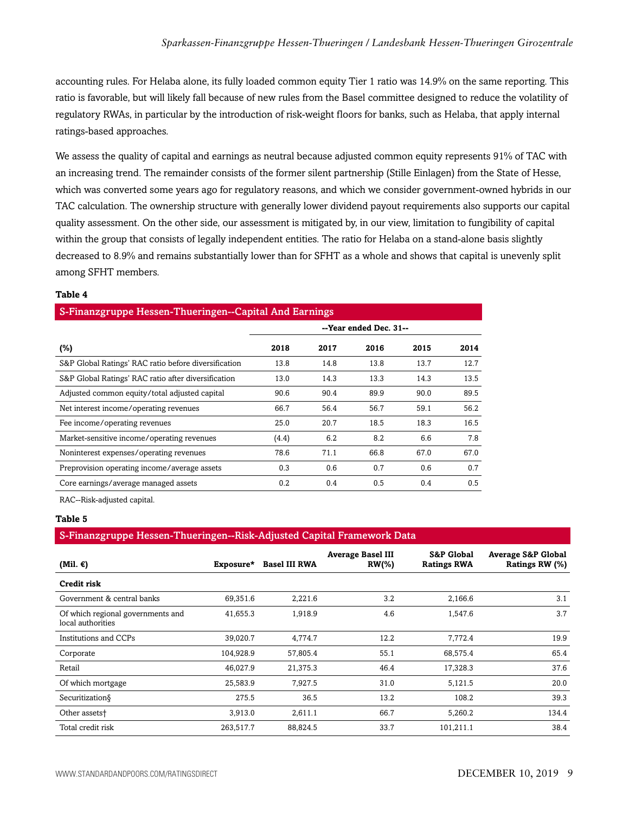accounting rules. For Helaba alone, its fully loaded common equity Tier 1 ratio was 14.9% on the same reporting. This ratio is favorable, but will likely fall because of new rules from the Basel committee designed to reduce the volatility of regulatory RWAs, in particular by the introduction of risk-weight floors for banks, such as Helaba, that apply internal ratings-based approaches.

We assess the quality of capital and earnings as neutral because adjusted common equity represents 91% of TAC with an increasing trend. The remainder consists of the former silent partnership (Stille Einlagen) from the State of Hesse, which was converted some years ago for regulatory reasons, and which we consider government-owned hybrids in our TAC calculation. The ownership structure with generally lower dividend payout requirements also supports our capital quality assessment. On the other side, our assessment is mitigated by, in our view, limitation to fungibility of capital within the group that consists of legally independent entities. The ratio for Helaba on a stand-alone basis slightly decreased to 8.9% and remains substantially lower than for SFHT as a whole and shows that capital is unevenly split among SFHT members.

#### **Table 4**

#### S-Finanzgruppe Hessen-Thueringen--Capital And Earnings

|                                                      | --Year ended Dec. 31-- |      |      |      |      |  |  |
|------------------------------------------------------|------------------------|------|------|------|------|--|--|
| $(\%)$                                               | 2018                   | 2017 | 2016 | 2015 | 2014 |  |  |
| S&P Global Ratings' RAC ratio before diversification | 13.8                   | 14.8 | 13.8 | 13.7 | 12.7 |  |  |
| S&P Global Ratings' RAC ratio after diversification  | 13.0                   | 14.3 | 13.3 | 14.3 | 13.5 |  |  |
| Adjusted common equity/total adjusted capital        | 90.6                   | 90.4 | 89.9 | 90.0 | 89.5 |  |  |
| Net interest income/operating revenues               | 66.7                   | 56.4 | 56.7 | 59.1 | 56.2 |  |  |
| Fee income/operating revenues                        | 25.0                   | 20.7 | 18.5 | 18.3 | 16.5 |  |  |
| Market-sensitive income/operating revenues           | (4.4)                  | 6.2  | 8.2  | 6.6  | 7.8  |  |  |
| Noninterest expenses/operating revenues              | 78.6                   | 71.1 | 66.8 | 67.0 | 67.0 |  |  |
| Preprovision operating income/average assets         | 0.3                    | 0.6  | 0.7  | 0.6  | 0.7  |  |  |
| Core earnings/average managed assets                 | 0.2                    | 0.4  | 0.5  | 0.4  | 0.5  |  |  |

RAC--Risk-adjusted capital.

#### **Table 5**

#### S-Finanzgruppe Hessen-Thueringen--Risk-Adjusted Capital Framework Data

| (Mil. $\epsilon$ )                                     |           | Exposure* Basel III RWA | <b>Average Basel III</b><br>$RW(\% )$ | <b>S&amp;P Global</b><br><b>Ratings RWA</b> | <b>Average S&amp;P Global</b><br>Ratings RW (%) |
|--------------------------------------------------------|-----------|-------------------------|---------------------------------------|---------------------------------------------|-------------------------------------------------|
| <b>Credit risk</b>                                     |           |                         |                                       |                                             |                                                 |
| Government & central banks                             | 69,351.6  | 2,221.6                 | 3.2                                   | 2,166.6                                     | 3.1                                             |
| Of which regional governments and<br>local authorities | 41,655.3  | 1,918.9                 | 4.6                                   | 1,547.6                                     | 3.7                                             |
| Institutions and CCPs                                  | 39,020.7  | 4,774.7                 | 12.2                                  | 7,772.4                                     | 19.9                                            |
| Corporate                                              | 104,928.9 | 57,805.4                | 55.1                                  | 68,575.4                                    | 65.4                                            |
| Retail                                                 | 46,027.9  | 21,375.3                | 46.4                                  | 17,328.3                                    | 37.6                                            |
| Of which mortgage                                      | 25,583.9  | 7,927.5                 | 31.0                                  | 5,121.5                                     | 20.0                                            |
| Securitization§                                        | 275.5     | 36.5                    | 13.2                                  | 108.2                                       | 39.3                                            |
| Other assets <sup>+</sup>                              | 3,913.0   | 2,611.1                 | 66.7                                  | 5,260.2                                     | 134.4                                           |
| Total credit risk                                      | 263,517.7 | 88,824.5                | 33.7                                  | 101,211.1                                   | 38.4                                            |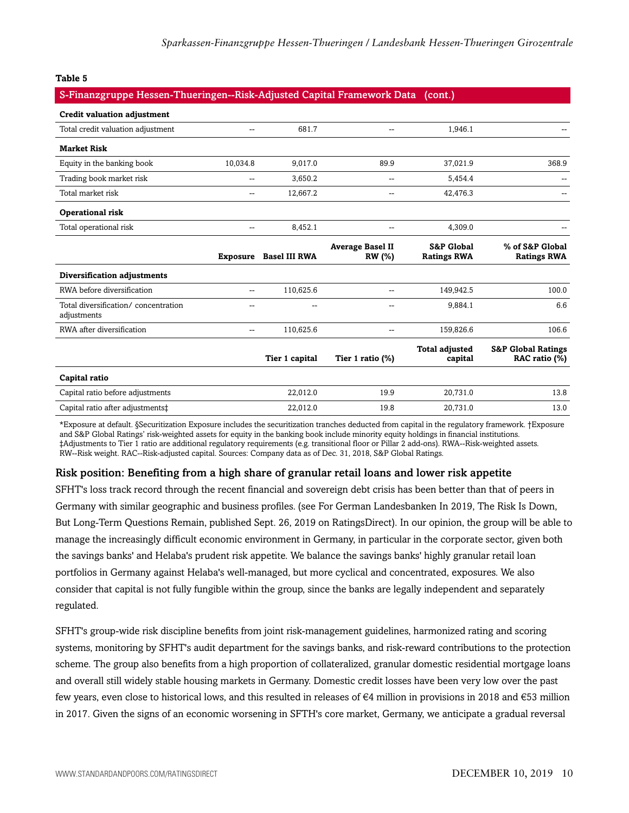#### **Table 5**

#### S-Finanzgruppe Hessen-Thueringen--Risk-Adjusted Capital Framework Data (cont.)

| <b>Credit valuation adjustment</b>                 |                 |                      |                                   |                                             |                                                |
|----------------------------------------------------|-----------------|----------------------|-----------------------------------|---------------------------------------------|------------------------------------------------|
| Total credit valuation adjustment                  | --              | 681.7                | --                                | 1,946.1                                     |                                                |
| <b>Market Risk</b>                                 |                 |                      |                                   |                                             |                                                |
| Equity in the banking book                         | 10,034.8        | 9,017.0              | 89.9                              | 37,021.9                                    | 368.9                                          |
| Trading book market risk                           | --              | 3,650.2              | --                                | 5,454.4                                     |                                                |
| Total market risk                                  | --              | 12,667.2             | --                                | 42,476.3                                    |                                                |
| Operational risk                                   |                 |                      |                                   |                                             |                                                |
| Total operational risk                             | $\overline{a}$  | 8,452.1              | --                                | 4,309.0                                     |                                                |
|                                                    | <b>Exposure</b> | <b>Basel III RWA</b> | <b>Average Basel II</b><br>RW (%) | <b>S&amp;P Global</b><br><b>Ratings RWA</b> | % of S&P Global<br><b>Ratings RWA</b>          |
| Diversification adjustments                        |                 |                      |                                   |                                             |                                                |
| RWA before diversification                         | --              | 110,625.6            | --                                | 149,942.5                                   | 100.0                                          |
| Total diversification/concentration<br>adjustments | --              | $\sim$               | --                                | 9,884.1                                     | 6.6                                            |
| RWA after diversification                          | --              | 110,625.6            | --                                | 159,826.6                                   | 106.6                                          |
|                                                    |                 | Tier 1 capital       | Tier 1 ratio (%)                  | <b>Total adjusted</b><br>capital            | <b>S&amp;P Global Ratings</b><br>RAC ratio (%) |
| Capital ratio                                      |                 |                      |                                   |                                             |                                                |
| Capital ratio before adjustments                   |                 | 22,012.0             | 19.9                              | 20,731.0                                    | 13.8                                           |
| Capital ratio after adjustments‡                   |                 | 22.012.0             | 19.8                              | 20.731.0                                    | 13.0                                           |

\*Exposure at default. §Securitization Exposure includes the securitization tranches deducted from capital in the regulatory framework. †Exposure and S&P Global Ratings' risk-weighted assets for equity in the banking book include minority equity holdings in financial institutions. ‡Adjustments to Tier 1 ratio are additional regulatory requirements (e.g. transitional floor or Pillar 2 add-ons). RWA--Risk-weighted assets. RW--Risk weight. RAC--Risk-adjusted capital. Sources: Company data as of Dec. 31, 2018, S&P Global Ratings.

#### Risk position: Benefiting from a high share of granular retail loans and lower risk appetite

SFHT's loss track record through the recent financial and sovereign debt crisis has been better than that of peers in Germany with similar geographic and business profiles. (see For German Landesbanken In 2019, The Risk Is Down, But Long-Term Questions Remain, published Sept. 26, 2019 on RatingsDirect). In our opinion, the group will be able to manage the increasingly difficult economic environment in Germany, in particular in the corporate sector, given both the savings banks' and Helaba's prudent risk appetite. We balance the savings banks' highly granular retail loan portfolios in Germany against Helaba's well-managed, but more cyclical and concentrated, exposures. We also consider that capital is not fully fungible within the group, since the banks are legally independent and separately regulated.

SFHT's group-wide risk discipline benefits from joint risk-management guidelines, harmonized rating and scoring systems, monitoring by SFHT's audit department for the savings banks, and risk-reward contributions to the protection scheme. The group also benefits from a high proportion of collateralized, granular domestic residential mortgage loans and overall still widely stable housing markets in Germany. Domestic credit losses have been very low over the past few years, even close to historical lows, and this resulted in releases of €4 million in provisions in 2018 and €53 million in 2017. Given the signs of an economic worsening in SFTH's core market, Germany, we anticipate a gradual reversal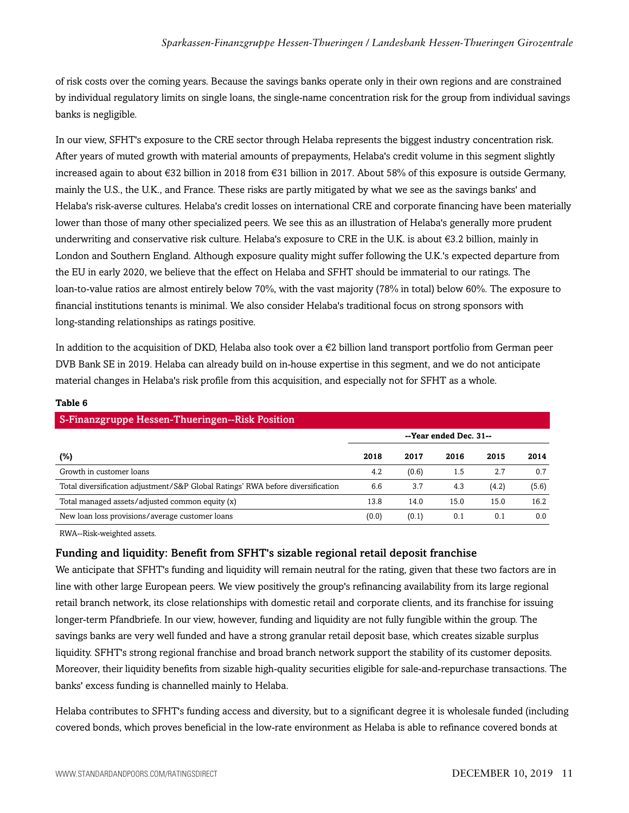of risk costs over the coming years. Because the savings banks operate only in their own regions and are constrained by individual regulatory limits on single loans, the single-name concentration risk for the group from individual savings banks is negligible.

In our view, SFHT's exposure to the CRE sector through Helaba represents the biggest industry concentration risk. After years of muted growth with material amounts of prepayments, Helaba's credit volume in this segment slightly increased again to about €32 billion in 2018 from €31 billion in 2017. About 58% of this exposure is outside Germany, mainly the U.S., the U.K., and France. These risks are partly mitigated by what we see as the savings banks' and Helaba's risk-averse cultures. Helaba's credit losses on international CRE and corporate financing have been materially lower than those of many other specialized peers. We see this as an illustration of Helaba's generally more prudent underwriting and conservative risk culture. Helaba's exposure to CRE in the U.K. is about €3.2 billion, mainly in London and Southern England. Although exposure quality might suffer following the U.K.'s expected departure from the EU in early 2020, we believe that the effect on Helaba and SFHT should be immaterial to our ratings. The loan-to-value ratios are almost entirely below 70%, with the vast majority (78% in total) below 60%. The exposure to financial institutions tenants is minimal. We also consider Helaba's traditional focus on strong sponsors with long-standing relationships as ratings positive.

In addition to the acquisition of DKD, Helaba also took over a  $\epsilon$ 2 billion land transport portfolio from German peer DVB Bank SE in 2019. Helaba can already build on in-house expertise in this segment, and we do not anticipate material changes in Helaba's risk profile from this acquisition, and especially not for SFHT as a whole.

| S-Finanzgruppe Hessen-Thueringen--Risk Position                                 |                        |       |      |       |       |  |  |  |  |
|---------------------------------------------------------------------------------|------------------------|-------|------|-------|-------|--|--|--|--|
|                                                                                 | --Year ended Dec. 31-- |       |      |       |       |  |  |  |  |
| (%)                                                                             | 2018                   | 2017  | 2016 | 2015  | 2014  |  |  |  |  |
| Growth in customer loans                                                        | 4.2                    | (0.6) | 1.5  | 2.7   | 0.7   |  |  |  |  |
| Total diversification adjustment/S&P Global Ratings' RWA before diversification | 6.6                    | 3.7   | 4.3  | (4.2) | (5.6) |  |  |  |  |
| Total managed assets/adjusted common equity (x)                                 | 13.8                   | 14.0  | 15.0 | 15.0  | 16.2  |  |  |  |  |
| New loan loss provisions/average customer loans                                 | (0.0)                  | (0.1) | 0.1  | 0.1   | 0.0   |  |  |  |  |

#### **Table 6**

RWA--Risk-weighted assets.

#### Funding and liquidity: Benefit from SFHT's sizable regional retail deposit franchise

We anticipate that SFHT's funding and liquidity will remain neutral for the rating, given that these two factors are in line with other large European peers. We view positively the group's refinancing availability from its large regional retail branch network, its close relationships with domestic retail and corporate clients, and its franchise for issuing longer-term Pfandbriefe. In our view, however, funding and liquidity are not fully fungible within the group. The savings banks are very well funded and have a strong granular retail deposit base, which creates sizable surplus liquidity. SFHT's strong regional franchise and broad branch network support the stability of its customer deposits. Moreover, their liquidity benefits from sizable high-quality securities eligible for sale-and-repurchase transactions. The banks' excess funding is channelled mainly to Helaba.

Helaba contributes to SFHT's funding access and diversity, but to a significant degree it is wholesale funded (including covered bonds, which proves beneficial in the low-rate environment as Helaba is able to refinance covered bonds at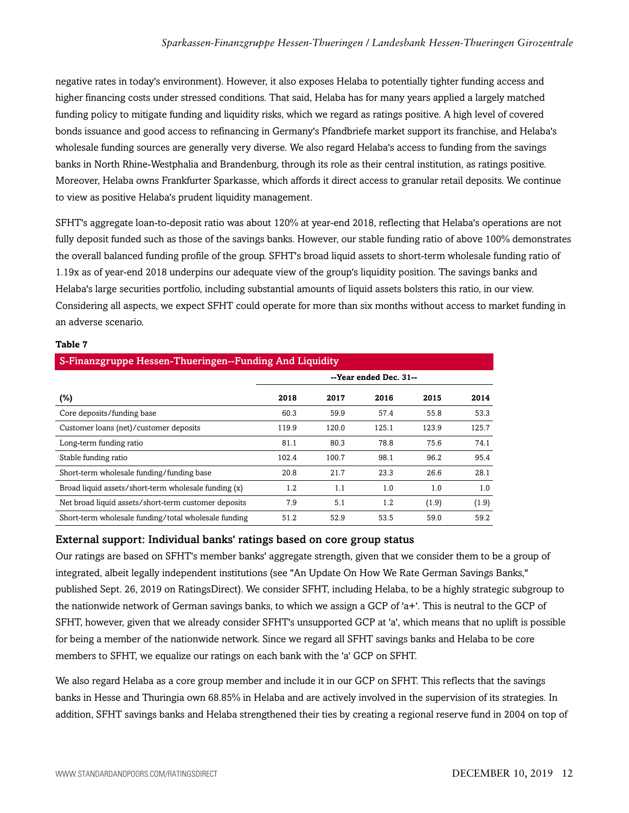negative rates in today's environment). However, it also exposes Helaba to potentially tighter funding access and higher financing costs under stressed conditions. That said, Helaba has for many years applied a largely matched funding policy to mitigate funding and liquidity risks, which we regard as ratings positive. A high level of covered bonds issuance and good access to refinancing in Germany's Pfandbriefe market support its franchise, and Helaba's wholesale funding sources are generally very diverse. We also regard Helaba's access to funding from the savings banks in North Rhine-Westphalia and Brandenburg, through its role as their central institution, as ratings positive. Moreover, Helaba owns Frankfurter Sparkasse, which affords it direct access to granular retail deposits. We continue to view as positive Helaba's prudent liquidity management.

SFHT's aggregate loan-to-deposit ratio was about 120% at year-end 2018, reflecting that Helaba's operations are not fully deposit funded such as those of the savings banks. However, our stable funding ratio of above 100% demonstrates the overall balanced funding profile of the group. SFHT's broad liquid assets to short-term wholesale funding ratio of 1.19x as of year-end 2018 underpins our adequate view of the group's liquidity position. The savings banks and Helaba's large securities portfolio, including substantial amounts of liquid assets bolsters this ratio, in our view. Considering all aspects, we expect SFHT could operate for more than six months without access to market funding in an adverse scenario.

#### **Table 7**

| S-Finanzgruppe Hessen-Thueringen--Funding And Liquidity |                        |       |       |       |       |  |  |  |  |
|---------------------------------------------------------|------------------------|-------|-------|-------|-------|--|--|--|--|
|                                                         | --Year ended Dec. 31-- |       |       |       |       |  |  |  |  |
| (%)                                                     | 2018                   | 2017  | 2016  | 2015  | 2014  |  |  |  |  |
| Core deposits/funding base                              | 60.3                   | 59.9  | 57.4  | 55.8  | 53.3  |  |  |  |  |
| Customer loans (net)/customer deposits                  | 119.9                  | 120.0 | 125.1 | 123.9 | 125.7 |  |  |  |  |
| Long-term funding ratio                                 | 81.1                   | 80.3  | 78.8  | 75.6  | 74.1  |  |  |  |  |
| Stable funding ratio                                    | 102.4                  | 100.7 | 98.1  | 96.2  | 95.4  |  |  |  |  |
| Short-term wholesale funding/funding base               | 20.8                   | 21.7  | 23.3  | 26.6  | 28.1  |  |  |  |  |
| Broad liquid assets/short-term wholesale funding (x)    | 1.2                    | 1.1   | 1.0   | 1.0   | 1.0   |  |  |  |  |
| Net broad liquid assets/short-term customer deposits    | 7.9                    | 5.1   | 1.2   | (1.9) | (1.9) |  |  |  |  |
| Short-term wholesale funding/total wholesale funding    | 51.2                   | 52.9  | 53.5  | 59.0  | 59.2  |  |  |  |  |

#### External support: Individual banks' ratings based on core group status

Our ratings are based on SFHT's member banks' aggregate strength, given that we consider them to be a group of integrated, albeit legally independent institutions (see "An Update On How We Rate German Savings Banks," published Sept. 26, 2019 on RatingsDirect). We consider SFHT, including Helaba, to be a highly strategic subgroup to the nationwide network of German savings banks, to which we assign a GCP of 'a+'. This is neutral to the GCP of SFHT, however, given that we already consider SFHT's unsupported GCP at 'a', which means that no uplift is possible for being a member of the nationwide network. Since we regard all SFHT savings banks and Helaba to be core members to SFHT, we equalize our ratings on each bank with the 'a' GCP on SFHT.

We also regard Helaba as a core group member and include it in our GCP on SFHT. This reflects that the savings banks in Hesse and Thuringia own 68.85% in Helaba and are actively involved in the supervision of its strategies. In addition, SFHT savings banks and Helaba strengthened their ties by creating a regional reserve fund in 2004 on top of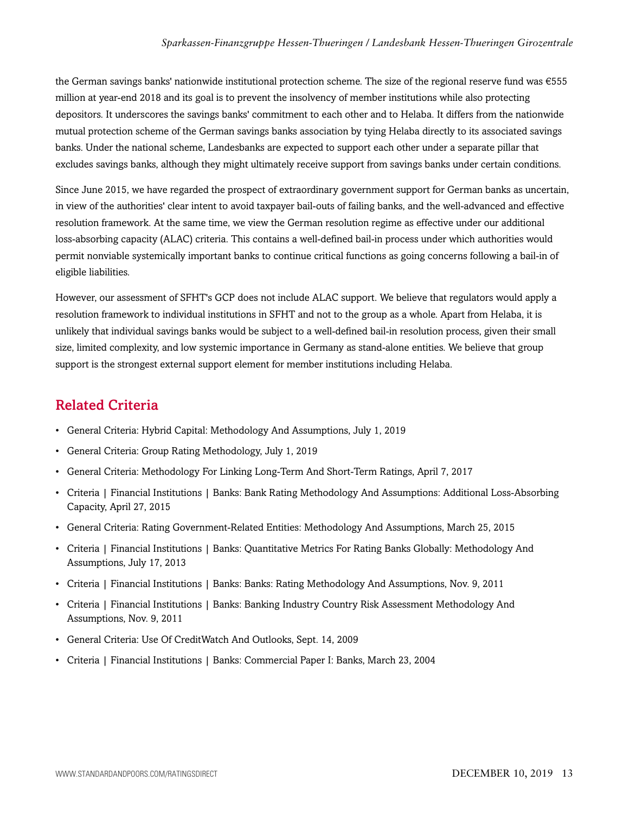the German savings banks' nationwide institutional protection scheme. The size of the regional reserve fund was €555 million at year-end 2018 and its goal is to prevent the insolvency of member institutions while also protecting depositors. It underscores the savings banks' commitment to each other and to Helaba. It differs from the nationwide mutual protection scheme of the German savings banks association by tying Helaba directly to its associated savings banks. Under the national scheme, Landesbanks are expected to support each other under a separate pillar that excludes savings banks, although they might ultimately receive support from savings banks under certain conditions.

Since June 2015, we have regarded the prospect of extraordinary government support for German banks as uncertain, in view of the authorities' clear intent to avoid taxpayer bail-outs of failing banks, and the well-advanced and effective resolution framework. At the same time, we view the German resolution regime as effective under our additional loss-absorbing capacity (ALAC) criteria. This contains a well-defined bail-in process under which authorities would permit nonviable systemically important banks to continue critical functions as going concerns following a bail-in of eligible liabilities.

However, our assessment of SFHT's GCP does not include ALAC support. We believe that regulators would apply a resolution framework to individual institutions in SFHT and not to the group as a whole. Apart from Helaba, it is unlikely that individual savings banks would be subject to a well-defined bail-in resolution process, given their small size, limited complexity, and low systemic importance in Germany as stand-alone entities. We believe that group support is the strongest external support element for member institutions including Helaba.

## <span id="page-12-0"></span>Related Criteria

- General Criteria: Hybrid Capital: Methodology And Assumptions, July 1, 2019
- General Criteria: Group Rating Methodology, July 1, 2019
- General Criteria: Methodology For Linking Long-Term And Short-Term Ratings, April 7, 2017
- Criteria | Financial Institutions | Banks: Bank Rating Methodology And Assumptions: Additional Loss-Absorbing Capacity, April 27, 2015
- General Criteria: Rating Government-Related Entities: Methodology And Assumptions, March 25, 2015
- Criteria | Financial Institutions | Banks: Quantitative Metrics For Rating Banks Globally: Methodology And Assumptions, July 17, 2013
- Criteria | Financial Institutions | Banks: Banks: Rating Methodology And Assumptions, Nov. 9, 2011
- Criteria | Financial Institutions | Banks: Banking Industry Country Risk Assessment Methodology And Assumptions, Nov. 9, 2011
- General Criteria: Use Of CreditWatch And Outlooks, Sept. 14, 2009
- Criteria | Financial Institutions | Banks: Commercial Paper I: Banks, March 23, 2004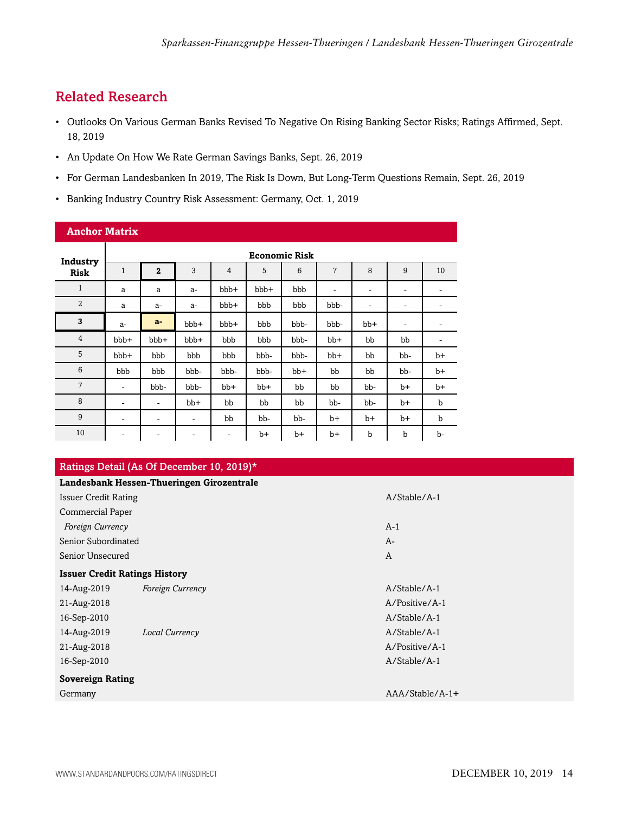# <span id="page-13-0"></span>Related Research

- Outlooks On Various German Banks Revised To Negative On Rising Banking Sector Risks; Ratings Affirmed, Sept. 18, 2019
- An Update On How We Rate German Savings Banks, Sept. 26, 2019
- For German Landesbanken In 2019, The Risk Is Down, But Long-Term Questions Remain, Sept. 26, 2019
- Banking Industry Country Risk Assessment: Germany, Oct. 1, 2019

| <b>Anchor Matrix</b> |                          |                      |       |                          |       |       |       |                          |                              |             |
|----------------------|--------------------------|----------------------|-------|--------------------------|-------|-------|-------|--------------------------|------------------------------|-------------|
| Industry             |                          | <b>Economic Risk</b> |       |                          |       |       |       |                          |                              |             |
| <b>Risk</b>          | $\mathbf{1}$             | $\mathbf{2}$         | 3     | $\overline{4}$           | 5     | 6     | 7     | 8                        | 9                            | 10          |
| $\mathbf{1}$         | a                        | a                    | $a-$  | bbb+                     | bbb+  | bbb   | ۰     | ٠                        | ۰                            |             |
| $\overline{2}$       | a                        | $a-$                 | $a-$  | bbb+                     | bbb   | bbb   | bbb-  | $\overline{\phantom{a}}$ | $\qquad \qquad -$            | ۰           |
| 3                    | $a-$                     | $a-$                 | bbb+  | $bbb+$                   | bbb   | bbb-  | bbb-  | $bb+$                    | $\qquad \qquad \blacksquare$ | -           |
| $\overline{4}$       | bbb+                     | bbb+                 | bbb+  | bbb                      | bbb   | bbb-  | $bb+$ | bb                       | bb                           | ٠           |
| 5                    | bbb+                     | bbb                  | bbb   | bbb                      | bbb-  | bbb-  | bb+   | bb                       | bb-                          | $b+$        |
| 6                    | bbb                      | bbb                  | bbb-  | bbb-                     | bbb-  | $bb+$ | bb    | bb                       | bb-                          | $b+$        |
| $\overline{7}$       | $\overline{\phantom{a}}$ | bbb-                 | bbb-  | $bb+$                    | $bb+$ | bb    | bb    | bb-                      | $b+$                         | $b+$        |
| 8                    | ۰                        | ۰                    | $bb+$ | bb                       | bb    | bb    | bb-   | bb-                      | $b+$                         | $\mathbf b$ |
| 9                    | $\overline{\phantom{a}}$ | ۰                    | ۰     | bb                       | bb-   | bb-   | b+    | $b+$                     | b+                           | b           |
| 10                   | -                        | ۰                    | ٠     | $\overline{\phantom{a}}$ | $b+$  | $b+$  | $b+$  | b                        | b                            | b-          |

#### Ratings Detail (As Of December 10, 2019)\* **Landesbank Hessen-Thueringen Girozentrale** Issuer Credit Rating A/Stable/A-1

| issuer Cream Rating                  |                  | A/ Stable/ A-1  |
|--------------------------------------|------------------|-----------------|
| Commercial Paper                     |                  |                 |
| Foreign Currency                     |                  | $A-1$           |
| Senior Subordinated                  |                  | $A-$            |
| Senior Unsecured                     |                  | A               |
| <b>Issuer Credit Ratings History</b> |                  |                 |
| 14-Aug-2019                          | Foreign Currency | A/Stable/A-1    |
| 21-Aug-2018                          |                  | A/Positive/A-1  |
| 16-Sep-2010                          |                  | A/Stable/A-1    |
| 14-Aug-2019                          | Local Currency   | A/Stable/A-1    |
| 21-Aug-2018                          |                  | A/Positive/A-1  |
| 16-Sep-2010                          |                  | A/Stable/A-1    |
| <b>Sovereign Rating</b>              |                  |                 |
| Germany                              |                  | AAA/Stable/A-1+ |
|                                      |                  |                 |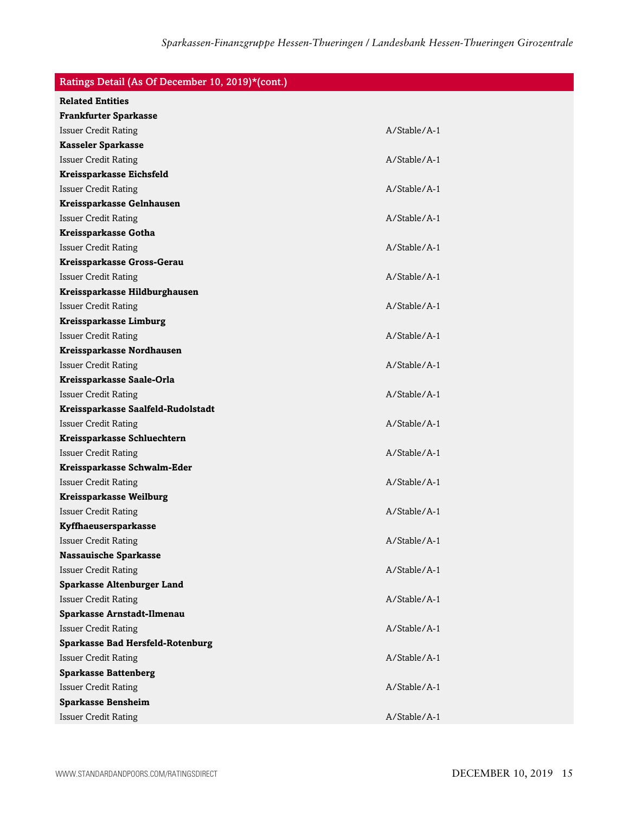### Ratings Detail (As Of December 10, 2019)\*(cont.)

| <b>Related Entities</b>                 |              |
|-----------------------------------------|--------------|
| <b>Frankfurter Sparkasse</b>            |              |
| <b>Issuer Credit Rating</b>             | A/Stable/A-1 |
| <b>Kasseler Sparkasse</b>               |              |
| <b>Issuer Credit Rating</b>             | A/Stable/A-1 |
| Kreissparkasse Eichsfeld                |              |
| <b>Issuer Credit Rating</b>             | A/Stable/A-1 |
| Kreissparkasse Gelnhausen               |              |
| <b>Issuer Credit Rating</b>             | A/Stable/A-1 |
| Kreissparkasse Gotha                    |              |
| <b>Issuer Credit Rating</b>             | A/Stable/A-1 |
| Kreissparkasse Gross-Gerau              |              |
| <b>Issuer Credit Rating</b>             | A/Stable/A-1 |
| Kreissparkasse Hildburghausen           |              |
| <b>Issuer Credit Rating</b>             | A/Stable/A-1 |
| <b>Kreissparkasse Limburg</b>           |              |
| <b>Issuer Credit Rating</b>             | A/Stable/A-1 |
| Kreissparkasse Nordhausen               |              |
| <b>Issuer Credit Rating</b>             | A/Stable/A-1 |
| Kreissparkasse Saale-Orla               |              |
| <b>Issuer Credit Rating</b>             | A/Stable/A-1 |
| Kreissparkasse Saalfeld-Rudolstadt      |              |
| <b>Issuer Credit Rating</b>             | A/Stable/A-1 |
| Kreissparkasse Schluechtern             |              |
| <b>Issuer Credit Rating</b>             | A/Stable/A-1 |
| Kreissparkasse Schwalm-Eder             |              |
| <b>Issuer Credit Rating</b>             | A/Stable/A-1 |
| <b>Kreissparkasse Weilburg</b>          |              |
| <b>Issuer Credit Rating</b>             | A/Stable/A-1 |
| Kyffhaeusersparkasse                    |              |
| <b>Issuer Credit Rating</b>             | A/Stable/A-1 |
| <b>Nassauische Sparkasse</b>            |              |
| <b>Issuer Credit Rating</b>             | A/Stable/A-1 |
| <b>Sparkasse Altenburger Land</b>       |              |
| <b>Issuer Credit Rating</b>             | A/Stable/A-1 |
| Sparkasse Arnstadt-Ilmenau              |              |
| <b>Issuer Credit Rating</b>             | A/Stable/A-1 |
| <b>Sparkasse Bad Hersfeld-Rotenburg</b> |              |
| <b>Issuer Credit Rating</b>             | A/Stable/A-1 |
| <b>Sparkasse Battenberg</b>             |              |
| <b>Issuer Credit Rating</b>             | A/Stable/A-1 |
| <b>Sparkasse Bensheim</b>               |              |
| <b>Issuer Credit Rating</b>             | A/Stable/A-1 |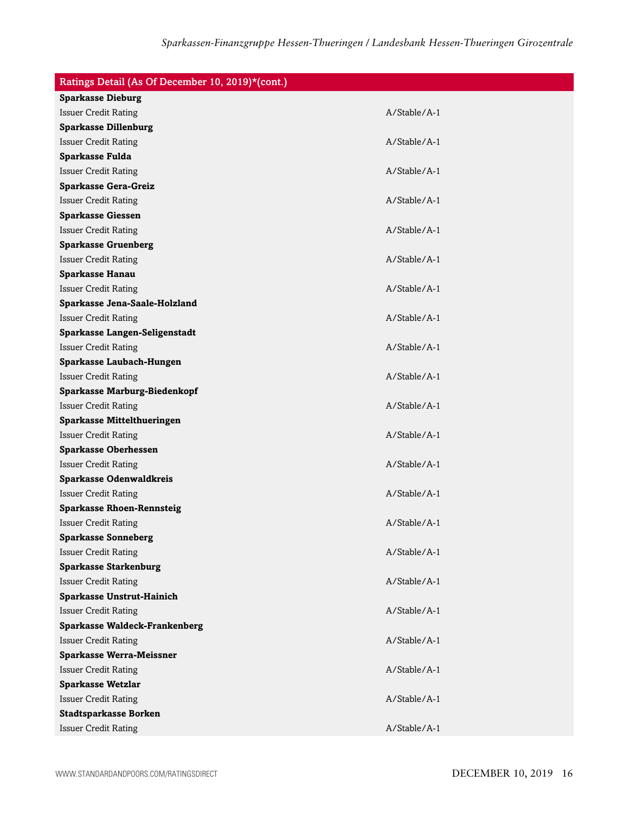| Ratings Detail (As Of December 10, 2019)*(cont.) |                |  |
|--------------------------------------------------|----------------|--|
| <b>Sparkasse Dieburg</b>                         |                |  |
| <b>Issuer Credit Rating</b>                      | A/Stable/A-1   |  |
| <b>Sparkasse Dillenburg</b>                      |                |  |
| <b>Issuer Credit Rating</b>                      | A/Stable/A-1   |  |
| Sparkasse Fulda                                  |                |  |
| <b>Issuer Credit Rating</b>                      | A/Stable/A-1   |  |
| <b>Sparkasse Gera-Greiz</b>                      |                |  |
| <b>Issuer Credit Rating</b>                      | A/Stable/A-1   |  |
| <b>Sparkasse Giessen</b>                         |                |  |
| <b>Issuer Credit Rating</b>                      | A/Stable/A-1   |  |
| <b>Sparkasse Gruenberg</b>                       |                |  |
| <b>Issuer Credit Rating</b>                      | A/Stable/A-1   |  |
| Sparkasse Hanau                                  |                |  |
| <b>Issuer Credit Rating</b>                      | $A/Stable/A-1$ |  |
| Sparkasse Jena-Saale-Holzland                    |                |  |
| <b>Issuer Credit Rating</b>                      | A/Stable/A-1   |  |
| Sparkasse Langen-Seligenstadt                    |                |  |
| <b>Issuer Credit Rating</b>                      | $A/Stable/A-1$ |  |
| Sparkasse Laubach-Hungen                         |                |  |
| <b>Issuer Credit Rating</b>                      | A/Stable/A-1   |  |
| <b>Sparkasse Marburg-Biedenkopf</b>              |                |  |
| <b>Issuer Credit Rating</b>                      | A/Stable/A-1   |  |
| <b>Sparkasse Mittelthueringen</b>                |                |  |
| <b>Issuer Credit Rating</b>                      | A/Stable/A-1   |  |
| <b>Sparkasse Oberhessen</b>                      |                |  |
| <b>Issuer Credit Rating</b>                      | A/Stable/A-1   |  |
| <b>Sparkasse Odenwaldkreis</b>                   |                |  |
| <b>Issuer Credit Rating</b>                      | A/Stable/A-1   |  |
| <b>Sparkasse Rhoen-Rennsteig</b>                 |                |  |
| <b>Issuer Credit Rating</b>                      | A/Stable/A-1   |  |
| <b>Sparkasse Sonneberg</b>                       |                |  |
| <b>Issuer Credit Rating</b>                      | A/Stable/A-1   |  |
| <b>Sparkasse Starkenburg</b>                     |                |  |
| <b>Issuer Credit Rating</b>                      | A/Stable/A-1   |  |
| <b>Sparkasse Unstrut-Hainich</b>                 |                |  |
| <b>Issuer Credit Rating</b>                      | A/Stable/A-1   |  |
| <b>Sparkasse Waldeck-Frankenberg</b>             |                |  |
| <b>Issuer Credit Rating</b>                      | A/Stable/A-1   |  |
| <b>Sparkasse Werra-Meissner</b>                  |                |  |
| <b>Issuer Credit Rating</b>                      | A/Stable/A-1   |  |
| <b>Sparkasse Wetzlar</b>                         |                |  |
| <b>Issuer Credit Rating</b>                      | A/Stable/A-1   |  |
| <b>Stadtsparkasse Borken</b>                     |                |  |
| <b>Issuer Credit Rating</b>                      | A/Stable/A-1   |  |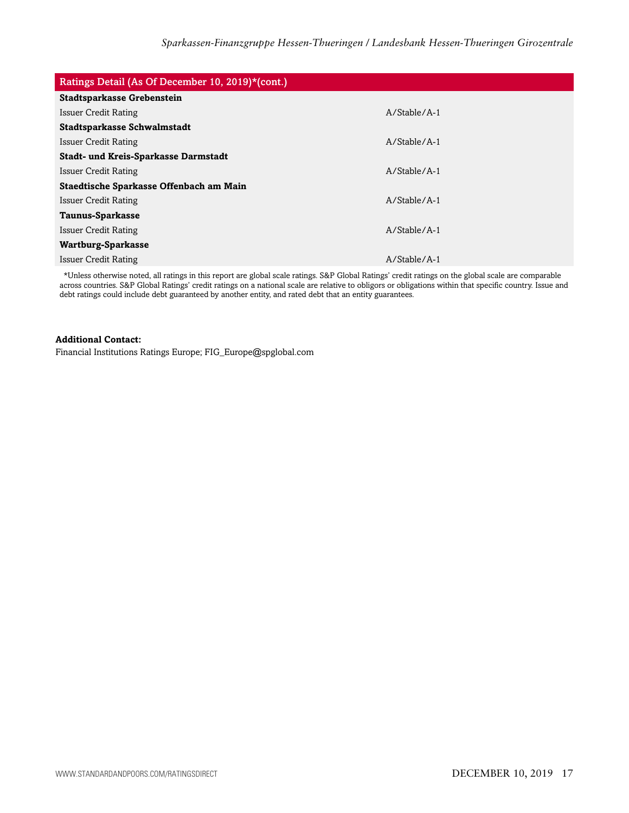| Ratings Detail (As Of December 10, 2019)*(cont.) |                |  |
|--------------------------------------------------|----------------|--|
| <b>Stadtsparkasse Grebenstein</b>                |                |  |
| Issuer Credit Rating                             | $A/Stable/A-1$ |  |
| Stadtsparkasse Schwalmstadt                      |                |  |
| <b>Issuer Credit Rating</b>                      | $A/Stable/A-1$ |  |
| Stadt- und Kreis-Sparkasse Darmstadt             |                |  |
| Issuer Credit Rating                             | $A/Stable/A-1$ |  |
| Staedtische Sparkasse Offenbach am Main          |                |  |
| <b>Issuer Credit Rating</b>                      | $A/Stable/A-1$ |  |
| Taunus-Sparkasse                                 |                |  |
| <b>Issuer Credit Rating</b>                      | $A/Stable/A-1$ |  |
| Wartburg-Sparkasse                               |                |  |
| <b>Issuer Credit Rating</b>                      | $A/Stable/A-1$ |  |

\*Unless otherwise noted, all ratings in this report are global scale ratings. S&P Global Ratings' credit ratings on the global scale are comparable across countries. S&P Global Ratings' credit ratings on a national scale are relative to obligors or obligations within that specific country. Issue and debt ratings could include debt guaranteed by another entity, and rated debt that an entity guarantees.

#### **Additional Contact:**

Financial Institutions Ratings Europe; FIG\_Europe@spglobal.com